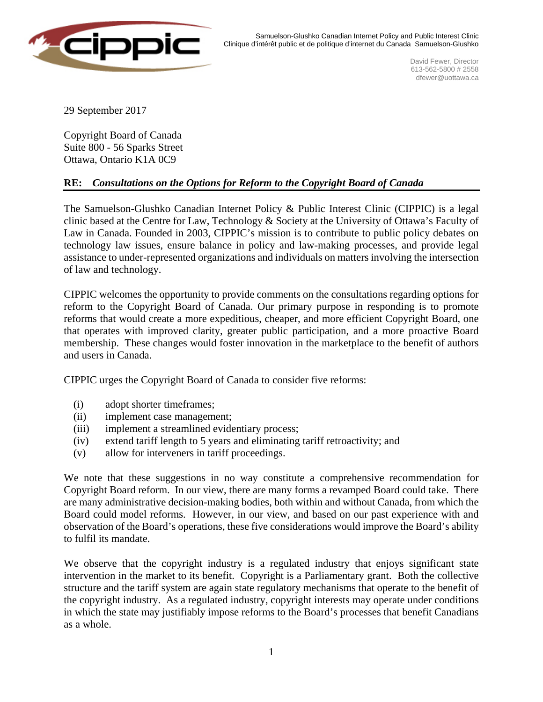

Samuelson-Glushko Canadian Internet Policy and Public Interest Clinic Clinique d'intérêt public et de politique d'internet du Canada Samuelson-Glushko

> David Fewer, Director 613-562-5800 # 2558 dfewer@uottawa.ca

29 September 2017

Copyright Board of Canada Suite 800 - 56 Sparks Street Ottawa, Ontario K1A 0C9

## **RE:** *Consultations on the Options for Reform to the Copyright Board of Canada*

The Samuelson-Glushko Canadian Internet Policy & Public Interest Clinic (CIPPIC) is a legal clinic based at the Centre for Law, Technology & Society at the University of Ottawa's Faculty of Law in Canada. Founded in 2003, CIPPIC's mission is to contribute to public policy debates on technology law issues, ensure balance in policy and law-making processes, and provide legal assistance to under-represented organizations and individuals on matters involving the intersection of law and technology.

CIPPIC welcomes the opportunity to provide comments on the consultations regarding options for reform to the Copyright Board of Canada. Our primary purpose in responding is to promote reforms that would create a more expeditious, cheaper, and more efficient Copyright Board, one that operates with improved clarity, greater public participation, and a more proactive Board membership. These changes would foster innovation in the marketplace to the benefit of authors and users in Canada.

CIPPIC urges the Copyright Board of Canada to consider five reforms:

- (i) adopt shorter timeframes;
- (ii) implement case management;
- (iii) implement a streamlined evidentiary process;
- (iv) extend tariff length to 5 years and eliminating tariff retroactivity; and
- (v) allow for interveners in tariff proceedings.

We note that these suggestions in no way constitute a comprehensive recommendation for Copyright Board reform. In our view, there are many forms a revamped Board could take. There are many administrative decision-making bodies, both within and without Canada, from which the Board could model reforms. However, in our view, and based on our past experience with and observation of the Board's operations, these five considerations would improve the Board's ability to fulfil its mandate.

We observe that the copyright industry is a regulated industry that enjoys significant state intervention in the market to its benefit. Copyright is a Parliamentary grant. Both the collective structure and the tariff system are again state regulatory mechanisms that operate to the benefit of the copyright industry. As a regulated industry, copyright interests may operate under conditions in which the state may justifiably impose reforms to the Board's processes that benefit Canadians as a whole.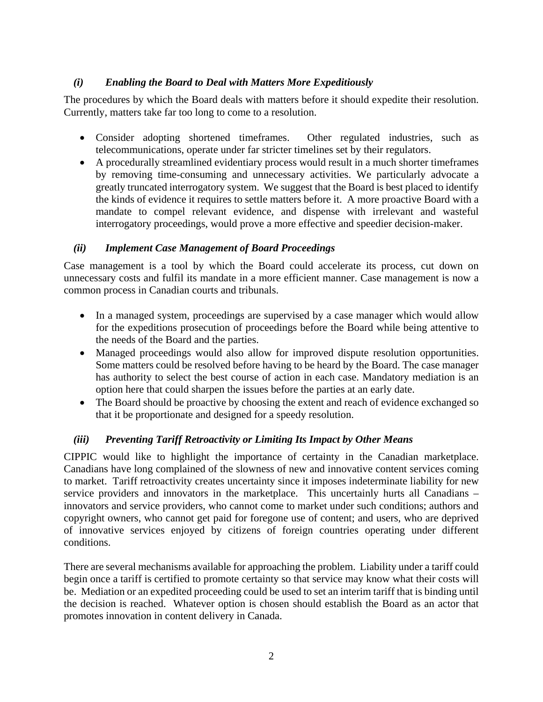## *(i) Enabling the Board to Deal with Matters More Expeditiously*

The procedures by which the Board deals with matters before it should expedite their resolution. Currently, matters take far too long to come to a resolution.

- Consider adopting shortened timeframes. Other regulated industries, such as telecommunications, operate under far stricter timelines set by their regulators.
- A procedurally streamlined evidentiary process would result in a much shorter timeframes by removing time-consuming and unnecessary activities. We particularly advocate a greatly truncated interrogatory system. We suggest that the Board is best placed to identify the kinds of evidence it requires to settle matters before it. A more proactive Board with a mandate to compel relevant evidence, and dispense with irrelevant and wasteful interrogatory proceedings, would prove a more effective and speedier decision-maker.

## *(ii) Implement Case Management of Board Proceedings*

Case management is a tool by which the Board could accelerate its process, cut down on unnecessary costs and fulfil its mandate in a more efficient manner. Case management is now a common process in Canadian courts and tribunals.

- In a managed system, proceedings are supervised by a case manager which would allow for the expeditions prosecution of proceedings before the Board while being attentive to the needs of the Board and the parties.
- Managed proceedings would also allow for improved dispute resolution opportunities. Some matters could be resolved before having to be heard by the Board. The case manager has authority to select the best course of action in each case. Mandatory mediation is an option here that could sharpen the issues before the parties at an early date.
- The Board should be proactive by choosing the extent and reach of evidence exchanged so that it be proportionate and designed for a speedy resolution.

# *(iii) Preventing Tariff Retroactivity or Limiting Its Impact by Other Means*

CIPPIC would like to highlight the importance of certainty in the Canadian marketplace. Canadians have long complained of the slowness of new and innovative content services coming to market. Tariff retroactivity creates uncertainty since it imposes indeterminate liability for new service providers and innovators in the marketplace. This uncertainly hurts all Canadians – innovators and service providers, who cannot come to market under such conditions; authors and copyright owners, who cannot get paid for foregone use of content; and users, who are deprived of innovative services enjoyed by citizens of foreign countries operating under different conditions.

There are several mechanisms available for approaching the problem. Liability under a tariff could begin once a tariff is certified to promote certainty so that service may know what their costs will be. Mediation or an expedited proceeding could be used to set an interim tariff that is binding until the decision is reached. Whatever option is chosen should establish the Board as an actor that promotes innovation in content delivery in Canada.